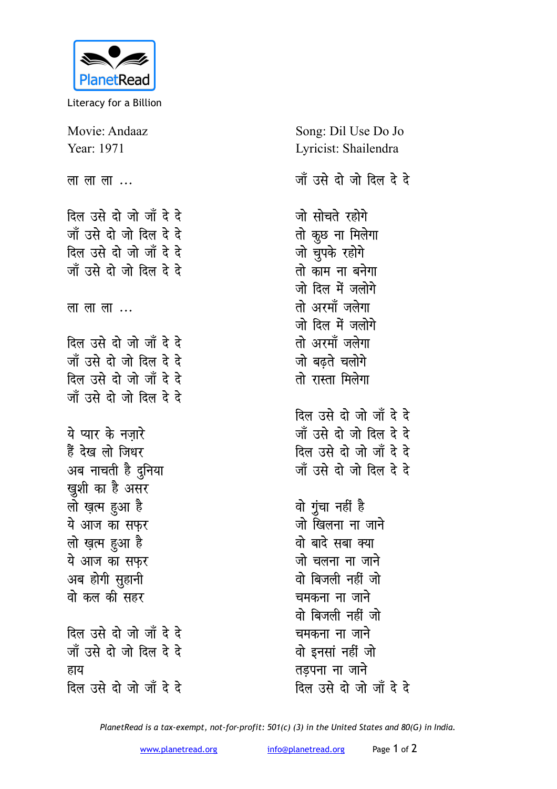

Literacy for a Billion

Movie: Andaaz Year: 1971 लालाला $\ldots$ दिल उसे दो जो जाँ दे दे जाँ उसे दो जो दिल दे दे दिल उसे दो जो जाँ दे दे जाँ उसे दो जो दिल दे दे लालाला $\ldots$ दिल उसे दो जो जाँ दे दे जाँ उसे दो जो दिल दे दे दिल उसे दो जो जाँ दे दे जाँ उसे दो जो दिल दे दे ये प्यार के नजारे हैं देख लो जिधर अब नाचती है दुनिया खुशी का है असर लो ख़त्म हुआ है ये आज का सफर लो ख़त्म हुआ है ये आज का सफर अब होगी सुहानी वो कल की सहर दिल उसे दो जो जाँ दे दे जाँ उसे दो जो दिल दे दे हाय दिल उसे दो जो जाँ दे दे

Song: Dil Use Do Jo Lyricist: Shailendra जाँ उसे दो जो दिल दे दे जो सोचते रहोगे तो कुछ ना मिलेगा जो चुपके रहोगे तो काम ना बनेगा जो दिल में जलोगे तो अरमाँ जलेगा जो दिल में जलोगे तो अरमाँ जलेगा जो बढते चलोगे तो रास्ता मिलेगा दिल उसे दो जो जाँ दे दे जाँ उसे दो जो दिल दे दे दिल उसे दो जो जाँ दे दे जाँ उसे दो जो दिल दे दे वो गुंचा नहीं है जो खिलना ना जाने वो बादे सबा क्या जो चलना ना जाने वो बिजली नहीं जो चमकना ना जाने वो बिजली नहीं जो चमकना ना जाने वो इनसां नहीं जो तडपना ना जाने

दिल उसे दो जो जाँ दे दे

PlanetRead is a tax-exempt, not-for-profit: 501(c) (3) in the United States and 80(G) in India.